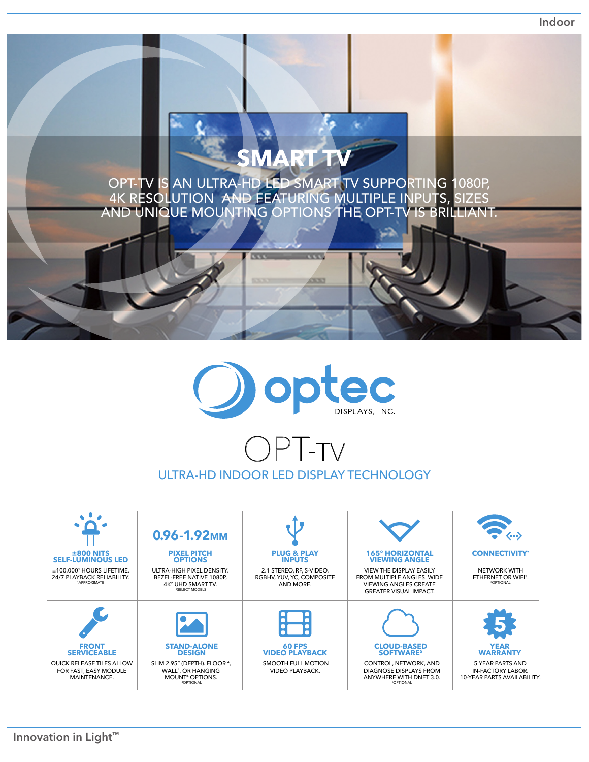**Indoor**

## **SMART TV**

OPT-TV IS AN ULTRA-HD LED SMART TV SUPPORTING 1080P, 4K RESOLUTION AND FEATURING MULTIPLE INPUTS, SIZES AND UNIQUE MOUNTING OPTIONS THE OPT-TV IS BRILLIANT.

 $\overline{\mathbf{v}}$ 

43,333

 $\overline{\mathbf{u}}$ 



## OPT-tv ULTRA-HD INDOOR LED DISPLAY TECHNOLOGY